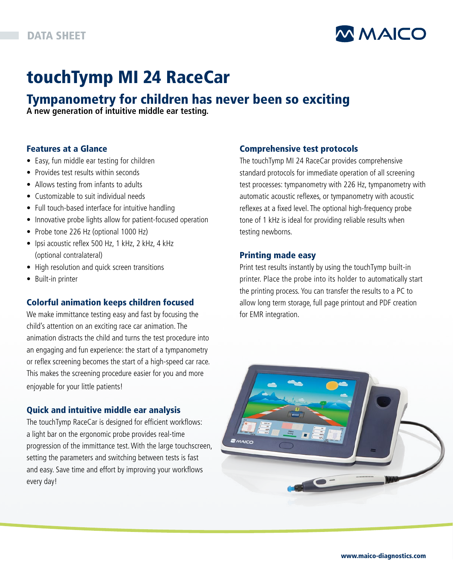

# touchTymp MI 24 RaceCar

# Tympanometry for children has never been so exciting

**A new generation of intuitive middle ear testing.**

### Features at a Glance

- Easy, fun middle ear testing for children
- Provides test results within seconds
- Allows testing from infants to adults
- Customizable to suit individual needs
- Full touch-based interface for intuitive handling
- Innovative probe lights allow for patient-focused operation
- Probe tone 226 Hz (optional 1000 Hz)
- Ipsi acoustic reflex 500 Hz, 1 kHz, 2 kHz, 4 kHz (optional contralateral)
- High resolution and quick screen transitions
- Built-in printer

## Colorful animation keeps children focused

We make immittance testing easy and fast by focusing the child's attention on an exciting race car animation. The animation distracts the child and turns the test procedure into an engaging and fun experience: the start of a tympanometry or reflex screening becomes the start of a high-speed car race. This makes the screening procedure easier for you and more enjoyable for your little patients!

### Quick and intuitive middle ear analysis

The touchTymp RaceCar is designed for efficient workflows: a light bar on the ergonomic probe provides real-time progression of the immittance test. With the large touchscreen, setting the parameters and switching between tests is fast and easy. Save time and effort by improving your workflows every day!

### Comprehensive test protocols

The touchTymp MI 24 RaceCar provides comprehensive standard protocols for immediate operation of all screening test processes: tympanometry with 226 Hz, tympanometry with automatic acoustic reflexes, or tympanometry with acoustic reflexes at a fixed level. The optional high-frequency probe tone of 1 kHz is ideal for providing reliable results when testing newborns.

### Printing made easy

Print test results instantly by using the touchTymp built-in printer. Place the probe into its holder to automatically start the printing process. You can transfer the results to a PC to allow long term storage, full page printout and PDF creation for EMR integration.